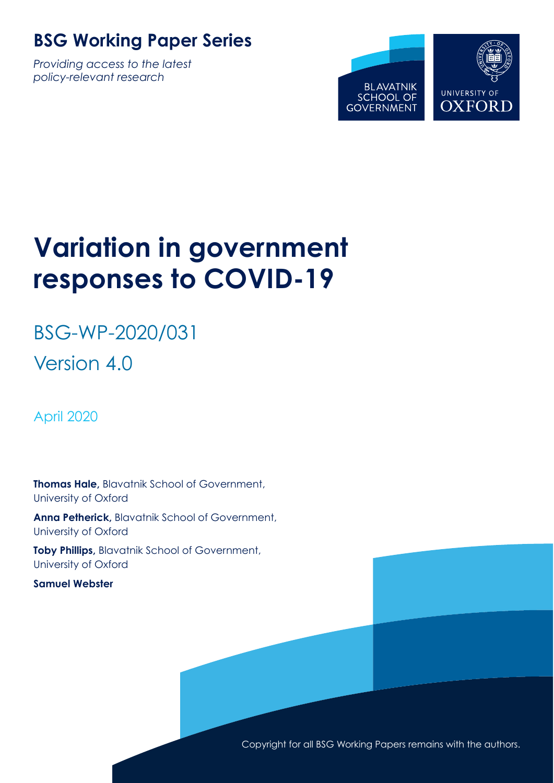### **BSG Working Paper Series**

*Providing access to the latest policy-relevant research*



# **Variation in government responses to COVID-19**

# BSG-WP-2020/031 Version 4.0

April 2020

**Thomas Hale,** Blavatnik School of Government, University of Oxford

**Anna Petherick,** Blavatnik School of Government, University of Oxford

**Toby Phillips,** Blavatnik School of Government, University of Oxford

**Samuel Webster**

Copyright for all BSG Working Papers remains with the authors.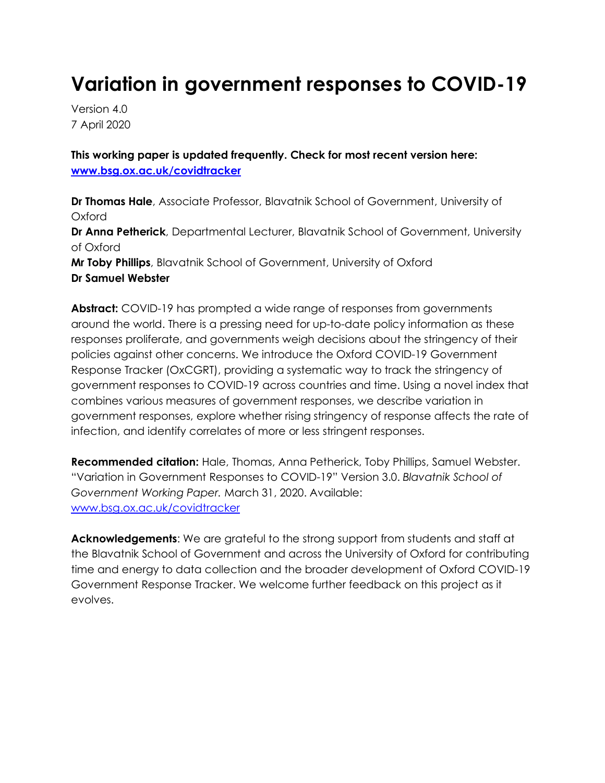### **Variation in government responses to COVID-19**

Version 4.0 7 April 2020

**This working paper is updated frequently. Check for most recent version here: www.bsg.ox.ac.uk/covidtracker**

**Dr Thomas Hale**, Associate Professor, Blavatnik School of Government, University of Oxford **Dr Anna Petherick**, Departmental Lecturer, Blavatnik School of Government, University of Oxford **Mr Toby Phillips**, Blavatnik School of Government, University of Oxford **Dr Samuel Webster**

**Abstract:** COVID-19 has prompted a wide range of responses from governments around the world. There is a pressing need for up-to-date policy information as these responses proliferate, and governments weigh decisions about the stringency of their policies against other concerns. We introduce the Oxford COVID-19 Government Response Tracker (OxCGRT), providing a systematic way to track the stringency of government responses to COVID-19 across countries and time. Using a novel index that combines various measures of government responses, we describe variation in government responses, explore whether rising stringency of response affects the rate of infection, and identify correlates of more or less stringent responses.

**Recommended citation:** Hale, Thomas, Anna Petherick, Toby Phillips, Samuel Webster. "Variation in Government Responses to COVID-19" Version 3.0. *Blavatnik School of Government Working Paper.* March 31, 2020. Available: www.bsg.ox.ac.uk/covidtracker

**Acknowledgements**: We are grateful to the strong support from students and staff at the Blavatnik School of Government and across the University of Oxford for contributing time and energy to data collection and the broader development of Oxford COVID-19 Government Response Tracker. We welcome further feedback on this project as it evolves.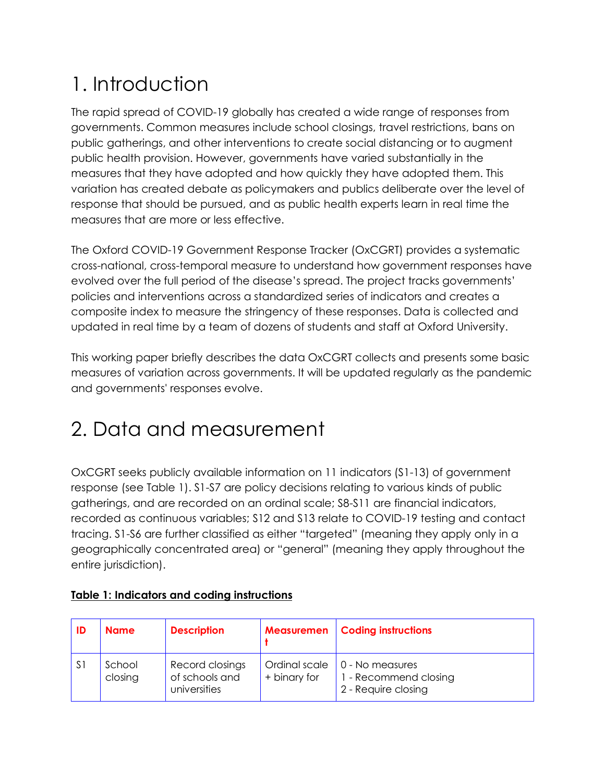# 1. Introduction

The rapid spread of COVID-19 globally has created a wide range of responses from governments. Common measures include school closings, travel restrictions, bans on public gatherings, and other interventions to create social distancing or to augment public health provision. However, governments have varied substantially in the measures that they have adopted and how quickly they have adopted them. This variation has created debate as policymakers and publics deliberate over the level of response that should be pursued, and as public health experts learn in real time the measures that are more or less effective.

The Oxford COVID-19 Government Response Tracker (OxCGRT) provides a systematic cross-national, cross-temporal measure to understand how government responses have evolved over the full period of the disease's spread. The project tracks governments' policies and interventions across a standardized series of indicators and creates a composite index to measure the stringency of these responses. Data is collected and updated in real time by a team of dozens of students and staff at Oxford University.

This working paper briefly describes the data OxCGRT collects and presents some basic measures of variation across governments. It will be updated regularly as the pandemic and governments' responses evolve.

### 2. Data and measurement

OxCGRT seeks publicly available information on 11 indicators (S1-13) of government response (see Table 1). S1-S7 are policy decisions relating to various kinds of public gatherings, and are recorded on an ordinal scale; S8-S11 are financial indicators, recorded as continuous variables; S12 and S13 relate to COVID-19 testing and contact tracing. S1-S6 are further classified as either "targeted" (meaning they apply only in a geographically concentrated area) or "general" (meaning they apply throughout the entire jurisdiction).

| -ID            | <b>Name</b>       | <b>Description</b>                                | <b>Measuremen</b>             | <b>Coding instructions</b>                                      |
|----------------|-------------------|---------------------------------------------------|-------------------------------|-----------------------------------------------------------------|
| S <sup>1</sup> | School<br>closing | Record closings<br>of schools and<br>universities | Ordinal scale<br>+ binary for | 0 - No measures<br>1 - Recommend closing<br>2 - Require closing |

#### **Table 1: Indicators and coding instructions**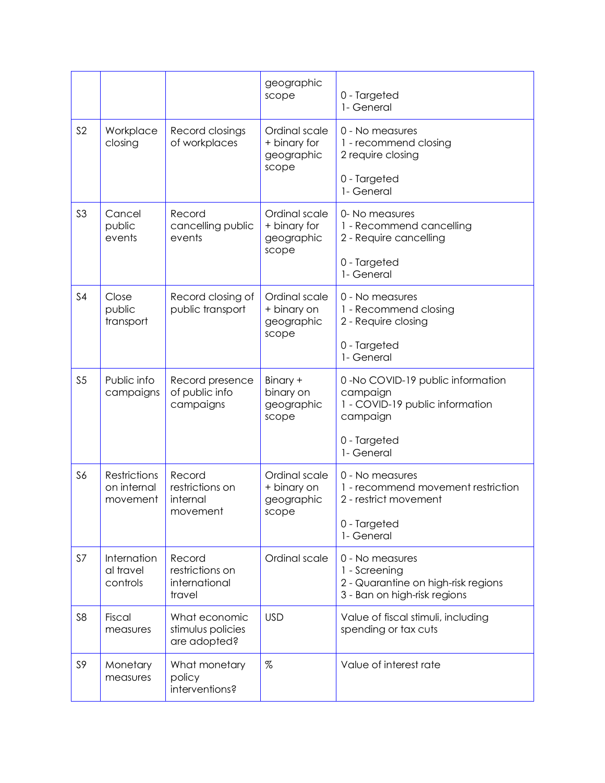|                |                                                |                                                      | geographic<br>scope                                  | 0 - Targeted<br>1- General                                                                              |
|----------------|------------------------------------------------|------------------------------------------------------|------------------------------------------------------|---------------------------------------------------------------------------------------------------------|
| S <sub>2</sub> | Workplace<br>closing                           | Record closings<br>of workplaces                     | Ordinal scale<br>+ binary for<br>geographic<br>scope | 0 - No measures<br>1 - recommend closing<br>2 require closing                                           |
|                |                                                |                                                      |                                                      | 0 - Targeted<br>1- General                                                                              |
| S <sub>3</sub> | Cancel<br>public<br>events                     | Record<br>cancelling public<br>events                | Ordinal scale<br>+ binary for<br>geographic<br>scope | 0- No measures<br>1 - Recommend cancelling<br>2 - Require cancelling                                    |
|                |                                                |                                                      |                                                      | 0 - Targeted<br>1- General                                                                              |
| S <sub>4</sub> | Close<br>public<br>transport                   | Record closing of<br>public transport                | Ordinal scale<br>+ binary on<br>geographic<br>scope  | 0 - No measures<br>1 - Recommend closing<br>2 - Require closing                                         |
|                |                                                |                                                      |                                                      | 0 - Targeted<br>1- General                                                                              |
| S <sub>5</sub> | Public info<br>campaigns                       | Record presence<br>of public info<br>campaigns       | Binary +<br>binary on<br>geographic<br>scope         | 0 -No COVID-19 public information<br>campaign<br>1 - COVID-19 public information<br>campaign            |
|                |                                                |                                                      |                                                      | 0 - Targeted<br>1- General                                                                              |
| S6             | <b>Restrictions</b><br>on internal<br>movement | Record<br>restrictions on<br>internal<br>movement    | Ordinal scale<br>+ binary on<br>geographic<br>scope  | 0 - No measures<br>1 - recommend movement restriction<br>2 - restrict movement                          |
|                |                                                |                                                      |                                                      | 0 - Targeted<br>1- General                                                                              |
| S7             | Internation<br>al travel<br>controls           | Record<br>restrictions on<br>international<br>travel | Ordinal scale                                        | 0 - No measures<br>1 - Screening<br>2 - Quarantine on high-risk regions<br>3 - Ban on high-risk regions |
| S <sub>8</sub> | Fiscal<br>measures                             | What economic<br>stimulus policies<br>are adopted?   | <b>USD</b>                                           | Value of fiscal stimuli, including<br>spending or tax cuts                                              |
| S9             | Monetary<br>measures                           | What monetary<br>policy<br>interventions?            | %                                                    | Value of interest rate                                                                                  |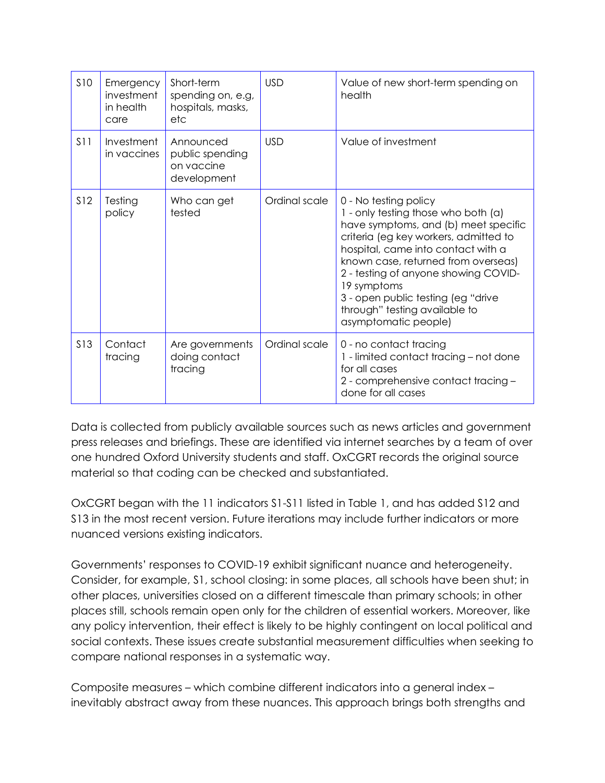| <b>S10</b>      | Emergency<br>investment<br>in health<br>care | Short-term<br>spending on, e.g,<br>hospitals, masks,<br>etc | <b>USD</b>    | Value of new short-term spending on<br>health                                                                                                                                                                                                                                                                                                                                    |
|-----------------|----------------------------------------------|-------------------------------------------------------------|---------------|----------------------------------------------------------------------------------------------------------------------------------------------------------------------------------------------------------------------------------------------------------------------------------------------------------------------------------------------------------------------------------|
| S11             | Investment<br>in vaccines                    | Announced<br>public spending<br>on vaccine<br>development   | <b>USD</b>    | Value of investment                                                                                                                                                                                                                                                                                                                                                              |
| <b>S12</b>      | Testing<br>policy                            | Who can get<br>tested                                       | Ordinal scale | 0 - No testing policy<br>1 - only testing those who both (a)<br>have symptoms, and (b) meet specific<br>criteria (eg key workers, admitted to<br>hospital, came into contact with a<br>known case, returned from overseas)<br>2 - testing of anyone showing COVID-<br>19 symptoms<br>3 - open public testing (eg "drive<br>through" testing available to<br>asymptomatic people) |
| S <sub>13</sub> | Contact<br>tracing                           | Are governments<br>doing contact<br>tracing                 | Ordinal scale | 0 - no contact tracing<br>1 - limited contact tracing - not done<br>for all cases<br>2 - comprehensive contact tracing -<br>done for all cases                                                                                                                                                                                                                                   |

Data is collected from publicly available sources such as news articles and government press releases and briefings. These are identified via internet searches by a team of over one hundred Oxford University students and staff. OxCGRT records the original source material so that coding can be checked and substantiated.

OxCGRT began with the 11 indicators S1-S11 listed in Table 1, and has added S12 and S13 in the most recent version. Future iterations may include further indicators or more nuanced versions existing indicators.

Governments' responses to COVID-19 exhibit significant nuance and heterogeneity. Consider, for example, S1, school closing: in some places, all schools have been shut; in other places, universities closed on a different timescale than primary schools; in other places still, schools remain open only for the children of essential workers. Moreover, like any policy intervention, their effect is likely to be highly contingent on local political and social contexts. These issues create substantial measurement difficulties when seeking to compare national responses in a systematic way.

Composite measures – which combine different indicators into a general index – inevitably abstract away from these nuances. This approach brings both strengths and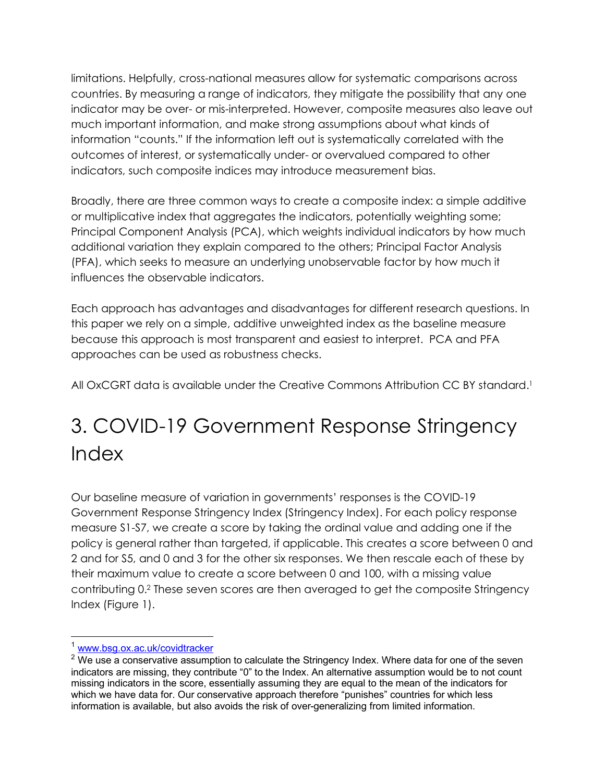limitations. Helpfully, cross-national measures allow for systematic comparisons across countries. By measuring a range of indicators, they mitigate the possibility that any one indicator may be over- or mis-interpreted. However, composite measures also leave out much important information, and make strong assumptions about what kinds of information "counts." If the information left out is systematically correlated with the outcomes of interest, or systematically under- or overvalued compared to other indicators, such composite indices may introduce measurement bias.

Broadly, there are three common ways to create a composite index: a simple additive or multiplicative index that aggregates the indicators, potentially weighting some; Principal Component Analysis (PCA), which weights individual indicators by how much additional variation they explain compared to the others; Principal Factor Analysis (PFA), which seeks to measure an underlying unobservable factor by how much it influences the observable indicators.

Each approach has advantages and disadvantages for different research questions. In this paper we rely on a simple, additive unweighted index as the baseline measure because this approach is most transparent and easiest to interpret. PCA and PFA approaches can be used as robustness checks.

All OxCGRT data is available under the Creative Commons Attribution CC BY standard.1

## 3. COVID-19 Government Response Stringency Index

Our baseline measure of variation in governments' responses is the COVID-19 Government Response Stringency Index (Stringency Index). For each policy response measure S1-S7, we create a score by taking the ordinal value and adding one if the policy is general rather than targeted, if applicable. This creates a score between 0 and 2 and for S5, and 0 and 3 for the other six responses. We then rescale each of these by their maximum value to create a score between 0 and 100, with a missing value contributing 0.2 These seven scores are then averaged to get the composite Stringency Index (Figure 1).

<sup>&</sup>lt;sup>1</sup> www.bsg.ox.ac.uk/covidtracker

 $2$  We use a conservative assumption to calculate the Stringency Index. Where data for one of the seven indicators are missing, they contribute "0" to the Index. An alternative assumption would be to not count missing indicators in the score, essentially assuming they are equal to the mean of the indicators for which we have data for. Our conservative approach therefore "punishes" countries for which less information is available, but also avoids the risk of over-generalizing from limited information.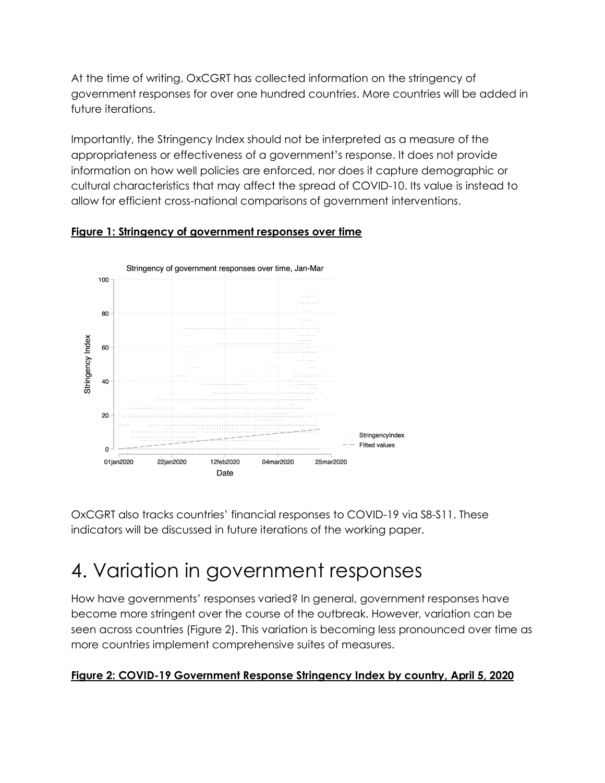At the time of writing, OxCGRT has collected information on the stringency of government responses for over one hundred countries. More countries will be added in future iterations.

Importantly, the Stringency Index should not be interpreted as a measure of the appropriateness or effectiveness of a government's response. It does not provide information on how well policies are enforced, nor does it capture demographic or cultural characteristics that may affect the spread of COVID-10. Its value is instead to allow for efficient cross-national comparisons of government interventions.



#### **Figure 1: Stringency of government responses over time**

OxCGRT also tracks countries' financial responses to COVID-19 via S8-S11. These indicators will be discussed in future iterations of the working paper.

### 4. Variation in government responses

How have governments' responses varied? In general, government responses have become more stringent over the course of the outbreak. However, variation can be seen across countries (Figure 2). This variation is becoming less pronounced over time as more countries implement comprehensive suites of measures.

#### **Figure 2: COVID-19 Government Response Stringency Index by country, April 5, 2020**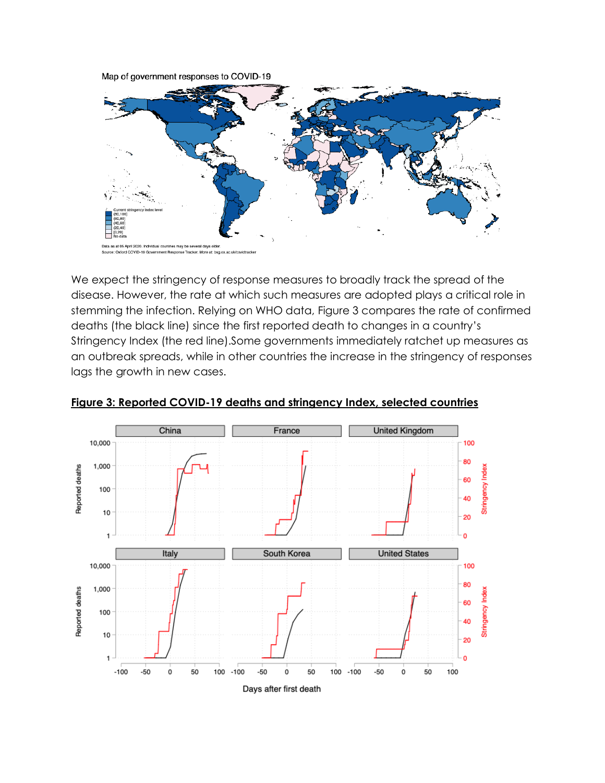Map of government responses to COVID-19



We expect the stringency of response measures to broadly track the spread of the disease. However, the rate at which such measures are adopted plays a critical role in stemming the infection. Relying on WHO data, Figure 3 compares the rate of confirmed deaths (the black line) since the first reported death to changes in a country's Stringency Index (the red line).Some governments immediately ratchet up measures as an outbreak spreads, while in other countries the increase in the stringency of responses lags the growth in new cases.



#### **Figure 3: Reported COVID-19 deaths and stringency Index, selected countries**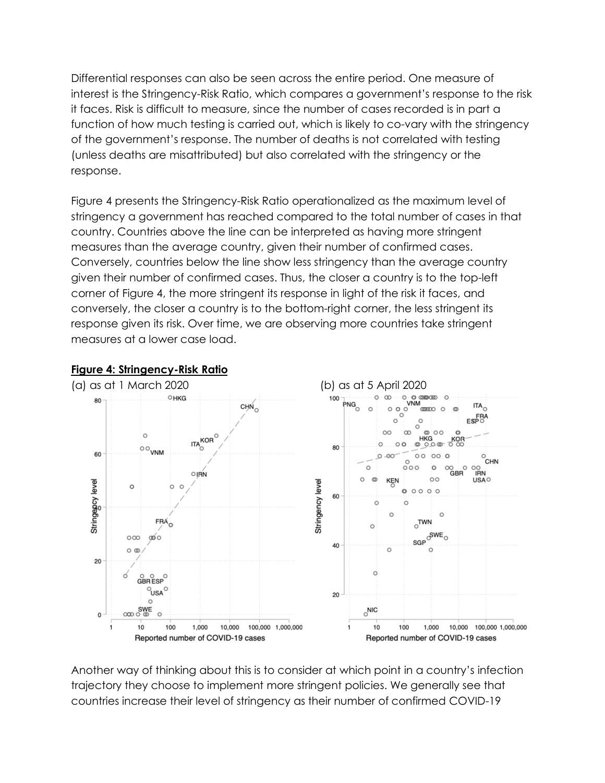Differential responses can also be seen across the entire period. One measure of interest is the Stringency-Risk Ratio, which compares a government's response to the risk it faces. Risk is difficult to measure, since the number of cases recorded is in part a function of how much testing is carried out, which is likely to co-vary with the stringency of the government's response. The number of deaths is not correlated with testing (unless deaths are misattributed) but also correlated with the stringency or the response.

Figure 4 presents the Stringency-Risk Ratio operationalized as the maximum level of stringency a government has reached compared to the total number of cases in that country. Countries above the line can be interpreted as having more stringent measures than the average country, given their number of confirmed cases. Conversely, countries below the line show less stringency than the average country given their number of confirmed cases. Thus, the closer a country is to the top-left corner of Figure 4, the more stringent its response in light of the risk it faces, and conversely, the closer a country is to the bottom-right corner, the less stringent its response given its risk. Over time, we are observing more countries take stringent measures at a lower case load.



#### **Figure 4: Stringency-Risk Ratio**

Another way of thinking about this is to consider at which point in a country's infection trajectory they choose to implement more stringent policies. We generally see that countries increase their level of stringency as their number of confirmed COVID-19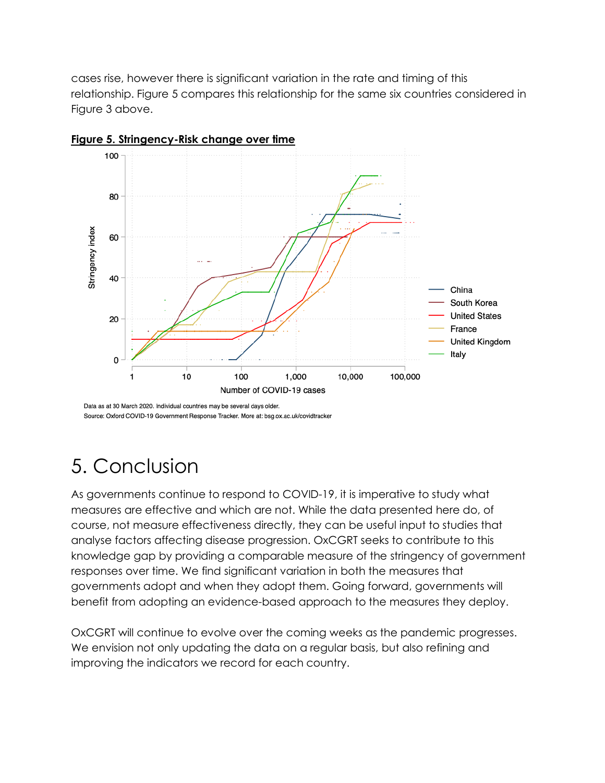cases rise, however there is significant variation in the rate and timing of this relationship. Figure 5 compares this relationship for the same six countries considered in Figure 3 above.



**Figure 5. Stringency-Risk change over time**

Source: Oxford COVID-19 Government Response Tracker. More at: bsg.ox.ac.uk/covidtracker

### 5. Conclusion

As governments continue to respond to COVID-19, it is imperative to study what measures are effective and which are not. While the data presented here do, of course, not measure effectiveness directly, they can be useful input to studies that analyse factors affecting disease progression. OxCGRT seeks to contribute to this knowledge gap by providing a comparable measure of the stringency of government responses over time. We find significant variation in both the measures that governments adopt and when they adopt them. Going forward, governments will benefit from adopting an evidence-based approach to the measures they deploy.

OxCGRT will continue to evolve over the coming weeks as the pandemic progresses. We envision not only updating the data on a regular basis, but also refining and improving the indicators we record for each country.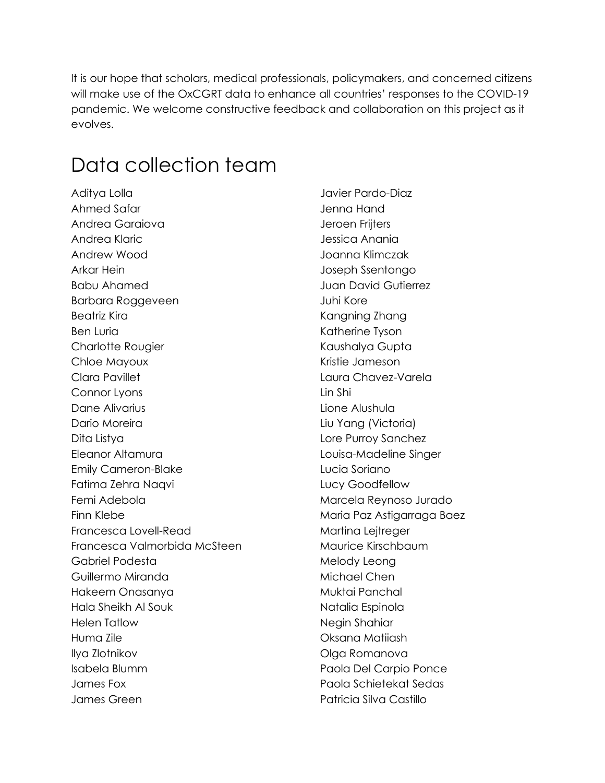It is our hope that scholars, medical professionals, policymakers, and concerned citizens will make use of the OxCGRT data to enhance all countries' responses to the COVID-19 pandemic. We welcome constructive feedback and collaboration on this project as it evolves.

### Data collection team

Aditya Lolla Ahmed Safar Andrea Garaiova Andrea Klaric Andrew Wood Arkar Hein Babu Ahamed Barbara Roggeveen Beatriz Kira Ben Luria Charlotte Rougier Chloe Mayoux Clara Pavillet Connor Lyons Dane Alivarius Dario Moreira Dita Listya Eleanor Altamura Emily Cameron-Blake Fatima Zehra Naqvi Femi Adebola Finn Klebe Francesca Lovell-Read Francesca Valmorbida McSteen Gabriel Podesta Guillermo Miranda Hakeem Onasanya Hala Sheikh Al Souk Helen Tatlow Huma Zile Ilya Zlotnikov Isabela Blumm James Fox James Green

Javier Pardo-Diaz Jenna Hand Jeroen Frijters Jessica Anania Joanna Klimczak Joseph Ssentongo Juan David Gutierrez Juhi Kore Kangning Zhang Katherine Tyson Kaushalya Gupta Kristie Jameson Laura Chavez-Varela Lin Shi Lione Alushula Liu Yang (Victoria) Lore Purroy Sanchez Louisa-Madeline Singer Lucia Soriano Lucy Goodfellow Marcela Reynoso Jurado Maria Paz Astigarraga Baez Martina Lejtreger Maurice Kirschbaum Melody Leong Michael Chen Muktai Panchal Natalia Espinola Negin Shahiar Oksana Matiiash Olga Romanova Paola Del Carpio Ponce Paola Schietekat Sedas Patricia Silva Castillo